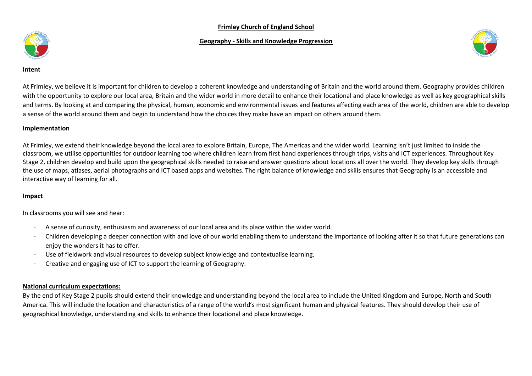### **Frimley Church of England School**

## **Geography - Skills and Knowledge Progression**





**Intent**

At Frimley, we believe it is important for children to develop a coherent knowledge and understanding of Britain and the world around them. Geography provides children with the opportunity to explore our local area, Britain and the wider world in more detail to enhance their locational and place knowledge as well as key geographical skills and terms. By looking at and comparing the physical, human, economic and environmental issues and features affecting each area of the world, children are able to develop a sense of the world around them and begin to understand how the choices they make have an impact on others around them.

### **Implementation**

At Frimley, we extend their knowledge beyond the local area to explore Britain, Europe, The Americas and the wider world. Learning isn't just limited to inside the classroom, we utilise opportunities for outdoor learning too where children learn from first hand experiences through trips, visits and ICT experiences. Throughout Key Stage 2, children develop and build upon the geographical skills needed to raise and answer questions about locations all over the world. They develop key skills through the use of maps, atlases, aerial photographs and ICT based apps and websites. The right balance of knowledge and skills ensures that Geography is an accessible and interactive way of learning for all.

#### **Impact**

In classrooms you will see and hear:

- · A sense of curiosity, enthusiasm and awareness of our local area and its place within the wider world.
- · Children developing a deeper connection with and love of our world enabling them to understand the importance of looking after it so that future generations can enjoy the wonders it has to offer.
- · Use of fieldwork and visual resources to develop subject knowledge and contextualise learning.
- · Creative and engaging use of ICT to support the learning of Geography.

## **National curriculum expectations:**

By the end of Key Stage 2 pupils should extend their knowledge and understanding beyond the local area to include the United Kingdom and Europe, North and South America. This will include the location and characteristics of a range of the world's most significant human and physical features. They should develop their use of geographical knowledge, understanding and skills to enhance their locational and place knowledge.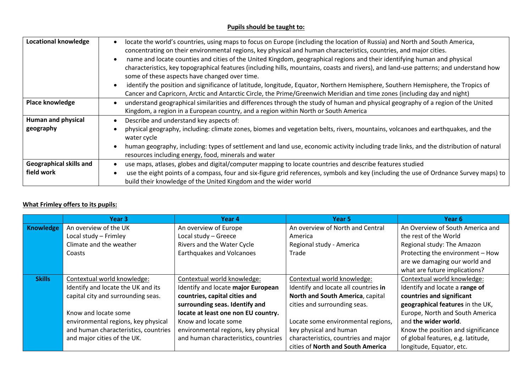# **Pupils should be taught to:**

| <b>Locational knowledge</b>    | locate the world's countries, using maps to focus on Europe (including the location of Russia) and North and South America,<br>concentrating on their environmental regions, key physical and human characteristics, countries, and major cities.                                                                   |  |  |
|--------------------------------|---------------------------------------------------------------------------------------------------------------------------------------------------------------------------------------------------------------------------------------------------------------------------------------------------------------------|--|--|
|                                | name and locate counties and cities of the United Kingdom, geographical regions and their identifying human and physical<br>characteristics, key topographical features (including hills, mountains, coasts and rivers), and land-use patterns; and understand how<br>some of these aspects have changed over time. |  |  |
|                                | identify the position and significance of latitude, longitude, Equator, Northern Hemisphere, Southern Hemisphere, the Tropics of<br>Cancer and Capricorn, Arctic and Antarctic Circle, the Prime/Greenwich Meridian and time zones (including day and night)                                                        |  |  |
| Place knowledge                | understand geographical similarities and differences through the study of human and physical geography of a region of the United<br>Kingdom, a region in a European country, and a region within North or South America                                                                                             |  |  |
| <b>Human and physical</b>      | Describe and understand key aspects of:                                                                                                                                                                                                                                                                             |  |  |
| geography                      | physical geography, including: climate zones, biomes and vegetation belts, rivers, mountains, volcanoes and earthquakes, and the<br>water cycle                                                                                                                                                                     |  |  |
|                                | human geography, including: types of settlement and land use, economic activity including trade links, and the distribution of natural<br>resources including energy, food, minerals and water                                                                                                                      |  |  |
| <b>Geographical skills and</b> | use maps, atlases, globes and digital/computer mapping to locate countries and describe features studied                                                                                                                                                                                                            |  |  |
| field work                     | use the eight points of a compass, four and six-figure grid references, symbols and key (including the use of Ordnance Survey maps) to<br>build their knowledge of the United Kingdom and the wider world                                                                                                           |  |  |

# **What Frimley offers to its pupils:**

|               | Year 3                               | Year 4                               | Year 5                               | Year 6                             |
|---------------|--------------------------------------|--------------------------------------|--------------------------------------|------------------------------------|
| Knowledge     | An overview of the UK                | An overview of Europe                | An overview of North and Central     | An Overview of South America and   |
|               | Local study - Frimley                | Local study - Greece                 | America                              | the rest of the World              |
|               | Climate and the weather              | Rivers and the Water Cycle           | Regional study - America             | Regional study: The Amazon         |
|               | Coasts                               | <b>Earthquakes and Volcanoes</b>     | Trade                                | Protecting the environment - How   |
|               |                                      |                                      |                                      | are we damaging our world and      |
|               |                                      |                                      |                                      | what are future implications?      |
| <b>Skills</b> | Contextual world knowledge:          | Contextual world knowledge:          | Contextual world knowledge:          | Contextual world knowledge:        |
|               | Identify and locate the UK and its   | Identify and locate major European   | Identify and locate all countries in | Identify and locate a range of     |
|               | capital city and surrounding seas.   | countries, capital cities and        | North and South America, capital     | countries and significant          |
|               |                                      | surrounding seas. Identify and       | cities and surrounding seas.         | geographical features in the UK,   |
|               | Know and locate some                 | locate at least one non EU country.  |                                      | Europe, North and South America    |
|               | environmental regions, key physical  | Know and locate some                 | Locate some environmental regions,   | and the wider world.               |
|               | and human characteristics, countries | environmental regions, key physical  | key physical and human               | Know the position and significance |
|               | and major cities of the UK.          | and human characteristics, countries | characteristics, countries and major | of global features, e.g. latitude, |
|               |                                      |                                      | cities of North and South America    | longitude, Equator, etc.           |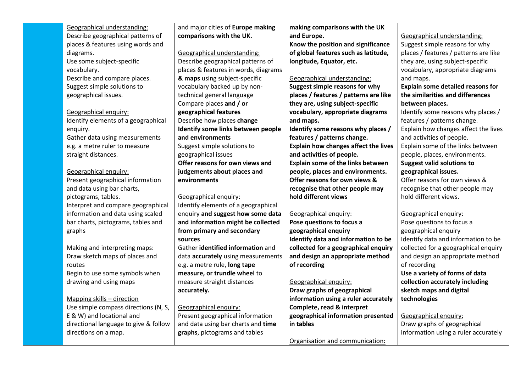| Geographical understanding:           | and major cities of Europe making    | making comparisons with the UK              |                                       |
|---------------------------------------|--------------------------------------|---------------------------------------------|---------------------------------------|
| Describe geographical patterns of     | comparisons with the UK.             | and Europe.                                 | Geographical understanding:           |
| places & features using words and     |                                      | Know the position and significance          | Suggest simple reasons for why        |
| diagrams.                             | Geographical understanding:          | of global features such as latitude,        | places / features / patterns are like |
| Use some subject-specific             | Describe geographical patterns of    | longitude, Equator, etc.                    | they are, using subject-specific      |
| vocabulary.                           | places & features in words, diagrams |                                             | vocabulary, appropriate diagrams      |
| Describe and compare places.          | & maps using subject-specific        | Geographical understanding:                 | and maps.                             |
| Suggest simple solutions to           | vocabulary backed up by non-         | Suggest simple reasons for why              | Explain some detailed reasons for     |
| geographical issues.                  | technical general language           | places / features / patterns are like       | the similarities and differences      |
|                                       | Compare places and / or              | they are, using subject-specific            | between places.                       |
| Geographical enquiry:                 | geographical features                | vocabulary, appropriate diagrams            | Identify some reasons why places /    |
| Identify elements of a geographical   | Describe how places change           | and maps.                                   | features / patterns change.           |
| enquiry.                              | Identify some links between people   | Identify some reasons why places /          | Explain how changes affect the lives  |
| Gather data using measurements        | and environments                     | features / patterns change.                 | and activities of people.             |
| e.g. a metre ruler to measure         | Suggest simple solutions to          | <b>Explain how changes affect the lives</b> | Explain some of the links between     |
| straight distances.                   | geographical issues                  | and activities of people.                   | people, places, environments.         |
|                                       | Offer reasons for own views and      | Explain some of the links between           | <b>Suggest valid solutions to</b>     |
| Geographical enquiry:                 | judgements about places and          | people, places and environments.            | geographical issues.                  |
| Present geographical information      | environments                         | Offer reasons for own views &               | Offer reasons for own views &         |
| and data using bar charts,            |                                      | recognise that other people may             | recognise that other people may       |
| pictograms, tables.                   | Geographical enquiry:                | hold different views                        | hold different views.                 |
| Interpret and compare geographical    | Identify elements of a geographical  |                                             |                                       |
| information and data using scaled     | enquiry and suggest how some data    | Geographical enquiry:                       | Geographical enquiry:                 |
| bar charts, pictograms, tables and    | and information might be collected   | Pose questions to focus a                   | Pose questions to focus a             |
| graphs                                | from primary and secondary           | geographical enquiry                        | geographical enquiry                  |
|                                       | sources                              | Identify data and information to be         | Identify data and information to be   |
| Making and interpreting maps:         | Gather identified information and    | collected for a geographical enquiry        | collected for a geographical enquiry  |
| Draw sketch maps of places and        | data accurately using measurements   | and design an appropriate method            | and design an appropriate method      |
| routes                                | e.g. a metre rule, long tape         | of recording                                | of recording                          |
| Begin to use some symbols when        | measure, or trundle wheel to         |                                             | Use a variety of forms of data        |
| drawing and using maps                | measure straight distances           | Geographical enquiry:                       | collection accurately including       |
|                                       | accurately.                          | Draw graphs of geographical                 | sketch maps and digital               |
| Mapping skills - direction            |                                      | information using a ruler accurately        | technologies                          |
| Use simple compass directions (N, S,  | Geographical enquiry:                | Complete, read & interpret                  |                                       |
| E & W) and locational and             | Present geographical information     | geographical information presented          | Geographical enquiry:                 |
| directional language to give & follow | and data using bar charts and time   | in tables                                   | Draw graphs of geographical           |
| directions on a map.                  | graphs, pictograms and tables        |                                             | information using a ruler accurately  |
|                                       |                                      | Organisation and communication:             |                                       |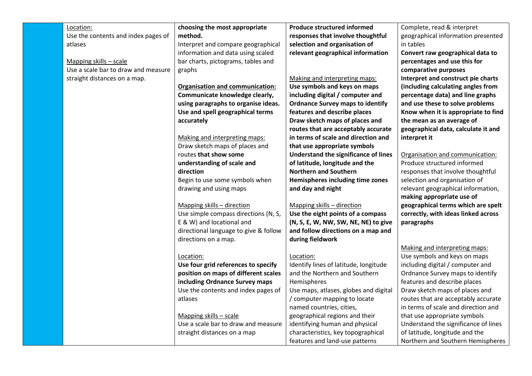| Location:                           | choosing the most appropriate          | <b>Produce structured informed</b>      | Complete, read & interpret           |
|-------------------------------------|----------------------------------------|-----------------------------------------|--------------------------------------|
|                                     | method.                                | responses that involve thoughtful       |                                      |
| Use the contents and index pages of |                                        |                                         | geographical information presented   |
| atlases                             | Interpret and compare geographical     | selection and organisation of           | in tables                            |
|                                     | information and data using scaled      | relevant geographical information       | Convert raw geographical data to     |
| Mapping skills - scale              | bar charts, pictograms, tables and     |                                         | percentages and use this for         |
| Use a scale bar to draw and measure | graphs                                 |                                         | comparative purposes                 |
| straight distances on a map.        |                                        | Making and interpreting maps:           | Interpret and construct pie charts   |
|                                     | <b>Organisation and communication:</b> | Use symbols and keys on maps            | (including calculating angles from   |
|                                     | Communicate knowledge clearly,         | including digital / computer and        | percentage data) and line graphs     |
|                                     | using paragraphs to organise ideas.    | <b>Ordnance Survey maps to identify</b> | and use these to solve problems      |
|                                     | Use and spell geographical terms       | features and describe places            | Know when it is appropriate to find  |
|                                     | accurately                             | Draw sketch maps of places and          | the mean as an average of            |
|                                     |                                        | routes that are acceptably accurate     | geographical data, calculate it and  |
|                                     | Making and interpreting maps:          | in terms of scale and direction and     | interpret it                         |
|                                     | Draw sketch maps of places and         | that use appropriate symbols            |                                      |
|                                     | routes that show some                  | Understand the significance of lines    | Organisation and communication:      |
|                                     | understanding of scale and             | of latitude, longitude and the          | Produce structured informed          |
|                                     | direction                              | <b>Northern and Southern</b>            | responses that involve thoughtful    |
|                                     | Begin to use some symbols when         | Hemispheres including time zones        | selection and organisation of        |
|                                     | drawing and using maps                 | and day and night                       | relevant geographical information,   |
|                                     |                                        |                                         | making appropriate use of            |
|                                     | Mapping skills - direction             | Mapping skills - direction              | geographical terms which are spelt   |
|                                     | Use simple compass directions (N, S,   | Use the eight points of a compass       | correctly, with ideas linked across  |
|                                     | E & W) and locational and              | (N, S, E, W, NW, SW, NE, NE) to give    | paragraphs                           |
|                                     | directional language to give & follow  | and follow directions on a map and      |                                      |
|                                     | directions on a map.                   | during fieldwork                        |                                      |
|                                     |                                        |                                         | Making and interpreting maps:        |
|                                     | Location:                              | Location:                               | Use symbols and keys on maps         |
|                                     | Use four grid references to specify    | Identify lines of latitude, longitude   | including digital / computer and     |
|                                     | position on maps of different scales   | and the Northern and Southern           | Ordnance Survey maps to identify     |
|                                     | including Ordnance Survey maps         | Hemispheres                             | features and describe places         |
|                                     | Use the contents and index pages of    | Use maps, atlases, globes and digital   | Draw sketch maps of places and       |
|                                     | atlases                                | / computer mapping to locate            | routes that are acceptably accurate  |
|                                     |                                        | named countries, cities,                | in terms of scale and direction and  |
|                                     | Mapping skills - scale                 | geographical regions and their          | that use appropriate symbols         |
|                                     | Use a scale bar to draw and measure    | identifying human and physical          | Understand the significance of lines |
|                                     | straight distances on a map            | characteristics, key topographical      | of latitude, longitude and the       |
|                                     |                                        | features and land-use patterns          | Northern and Southern Hemispheres    |